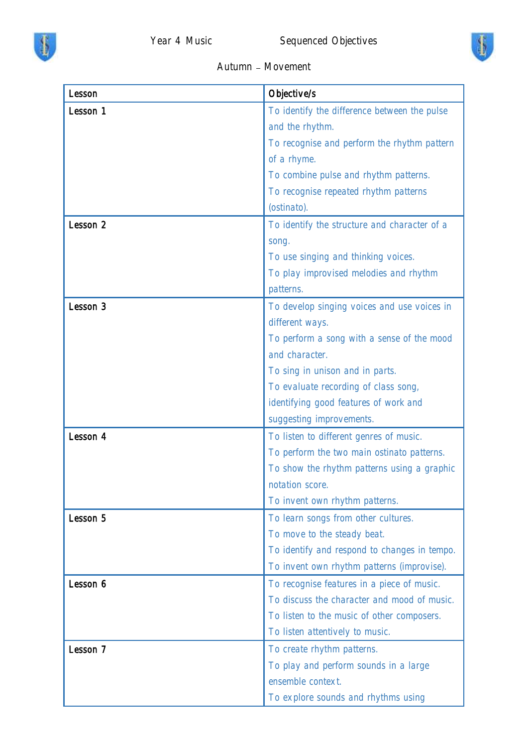



## Autumn - Movement

| Lesson   | Objective/s                                  |
|----------|----------------------------------------------|
| Lesson 1 | To identify the difference between the pulse |
|          | and the rhythm.                              |
|          | To recognise and perform the rhythm pattern  |
|          | of a rhyme.                                  |
|          | To combine pulse and rhythm patterns.        |
|          | To recognise repeated rhythm patterns        |
|          | (ostinato).                                  |
| Lesson 2 | To identify the structure and character of a |
|          | song.                                        |
|          | To use singing and thinking voices.          |
|          | To play improvised melodies and rhythm       |
|          | patterns.                                    |
| Lesson 3 | To develop singing voices and use voices in  |
|          | different ways.                              |
|          | To perform a song with a sense of the mood   |
|          | and character.                               |
|          | To sing in unison and in parts.              |
|          | To evaluate recording of class song,         |
|          | identifying good features of work and        |
|          | suggesting improvements.                     |
| Lesson 4 | To listen to different genres of music.      |
|          | To perform the two main ostinato patterns.   |
|          | To show the rhythm patterns using a graphic  |
|          | notation score.                              |
|          | To invent own rhythm patterns.               |
| Lesson 5 | To learn songs from other cultures.          |
|          | To move to the steady beat.                  |
|          | To identify and respond to changes in tempo. |
|          | To invent own rhythm patterns (improvise).   |
| Lesson 6 | To recognise features in a piece of music.   |
|          | To discuss the character and mood of music.  |
|          | To listen to the music of other composers.   |
|          | To listen attentively to music.              |
| Lesson 7 | To create rhythm patterns.                   |
|          | To play and perform sounds in a large        |
|          | ensemble context.                            |
|          | To explore sounds and rhythms using          |